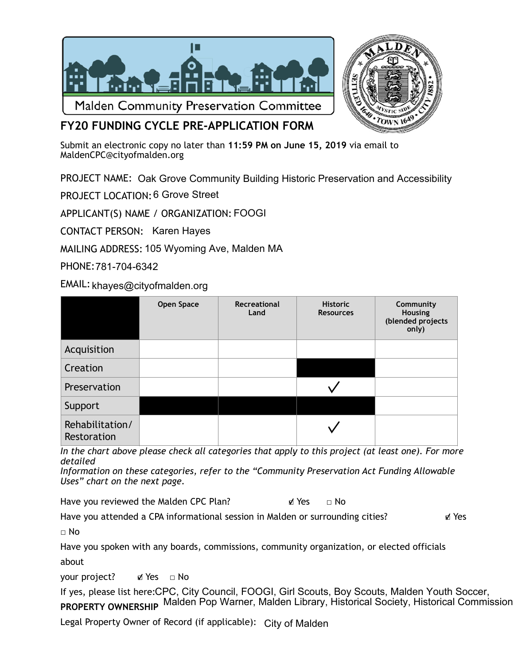



## **FY20 FUNDING CYCLE PRE-APPLICATION FORM**

Submit an electronic copy no later than **11:59 PM on June 15, 2019** via email to [MaldenCPC@cityofmalden.org](mailto:CPCMalden@gmail.com)

PROJECT NAME: Oak Grove Community Building Historic Preservation and Accessibility

PROJECT LOCATION: 6 Grove Street

APPLICANT(S) NAME / ORGANIZATION: FOOGI

CONTACT PERSON: Karen Hayes

MAILING ADDRESS: 105 Wyoming Ave, Malden MA

PHONE: 781-704-6342

EMAIL: khayes@cityofmalden.org

|                                | Open Space | Recreational<br>Land | <b>Historic</b><br><b>Resources</b> | Community<br>Housing<br>(blended projects<br>only) |
|--------------------------------|------------|----------------------|-------------------------------------|----------------------------------------------------|
| Acquisition                    |            |                      |                                     |                                                    |
| Creation                       |            |                      |                                     |                                                    |
| Preservation                   |            |                      |                                     |                                                    |
| Support                        |            |                      |                                     |                                                    |
| Rehabilitation/<br>Restoration |            |                      |                                     |                                                    |

*In the chart above please check all categories that apply to this project (at least one). For more detailed* 

*Information on these categories, refer to the "Community Preservation Act Funding Allowable Uses" chart on the next page.* 

Have you reviewed the Malden CPC Plan? ■ ■ Yes □ No

Have you attended a CPA informational session in Malden or surrounding cities? ■ Yes

 $\sqcap$  No

Have you spoken with any boards, commissions, community organization, or elected officials about

your project? ø Yes □ No

If yes, please list here: CPC, City Council, FOOGI, Girl Scouts, Boy Scouts, Malden Youth Soccer, **PROPERTY OWNERSHIP**  Malden Pop Warner, Malden Library, Historical Society, Historical Commission

Legal Property Owner of Record (if applicable): City of Malden